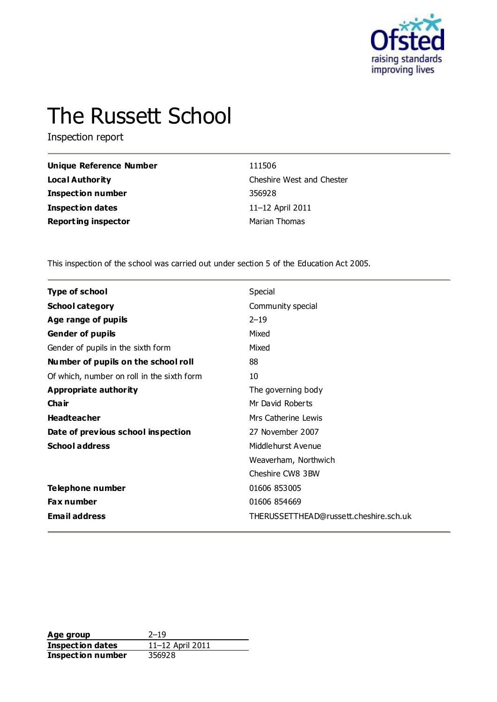

# The Russett School

Inspection report

| <b>Unique Reference Number</b> | 111506                    |
|--------------------------------|---------------------------|
| <b>Local Authority</b>         | Cheshire West and Chester |
| Inspection number              | 356928                    |
| Inspection dates               | 11-12 April 2011          |
| <b>Reporting inspector</b>     | Marian Thomas             |

This inspection of the school was carried out under section 5 of the Education Act 2005.

| <b>Type of school</b>                      | Special                                |
|--------------------------------------------|----------------------------------------|
| <b>School category</b>                     | Community special                      |
| Age range of pupils                        | $2 - 19$                               |
| <b>Gender of pupils</b>                    | Mixed                                  |
| Gender of pupils in the sixth form         | Mixed                                  |
| Number of pupils on the school roll        | 88                                     |
| Of which, number on roll in the sixth form | 10                                     |
| Appropriate authority                      | The governing body                     |
| Cha ir                                     | Mr David Roberts                       |
| <b>Headteacher</b>                         | Mrs Catherine Lewis                    |
| Date of previous school inspection         | 27 November 2007                       |
| <b>School address</b>                      | Middlehurst Avenue                     |
|                                            | Weaverham, Northwich                   |
|                                            | Cheshire CW8 3BW                       |
| Telephone number                           | 01606 853005                           |
| <b>Fax number</b>                          | 01606 854669                           |
| <b>Email address</b>                       | THERUSSETTHEAD@russett.cheshire.sch.uk |

**Age group** 2–19<br> **Inspection dates** 11–12 April 2011 **Inspection dates** 11–12 April 2011 **Inspection number** 356928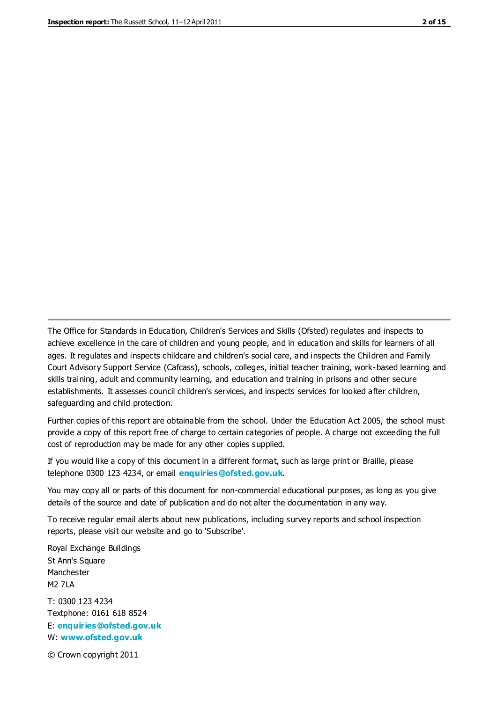The Office for Standards in Education, Children's Services and Skills (Ofsted) regulates and inspects to achieve excellence in the care of children and young people, and in education and skills for learners of all ages. It regulates and inspects childcare and children's social care, and inspects the Children and Family Court Advisory Support Service (Cafcass), schools, colleges, initial teacher training, work-based learning and skills training, adult and community learning, and education and training in prisons and other secure establishments. It assesses council children's services, and inspects services for looked after children, safeguarding and child protection.

Further copies of this report are obtainable from the school. Under the Education Act 2005, the school must provide a copy of this report free of charge to certain categories of people. A charge not exceeding the full cost of reproduction may be made for any other copies supplied.

If you would like a copy of this document in a different format, such as large print or Braille, please telephone 0300 123 4234, or email **[enquiries@ofsted.gov.uk](mailto:enquiries@ofsted.gov.uk)**.

You may copy all or parts of this document for non-commercial educational purposes, as long as you give details of the source and date of publication and do not alter the documentation in any way.

To receive regular email alerts about new publications, including survey reports and school inspection reports, please visit our website and go to 'Subscribe'.

Royal Exchange Buildings St Ann's Square Manchester M2 7LA T: 0300 123 4234 Textphone: 0161 618 8524 E: **[enquiries@ofsted.gov.uk](mailto:enquiries@ofsted.gov.uk)**

W: **[www.ofsted.gov.uk](http://www.ofsted.gov.uk/)**

© Crown copyright 2011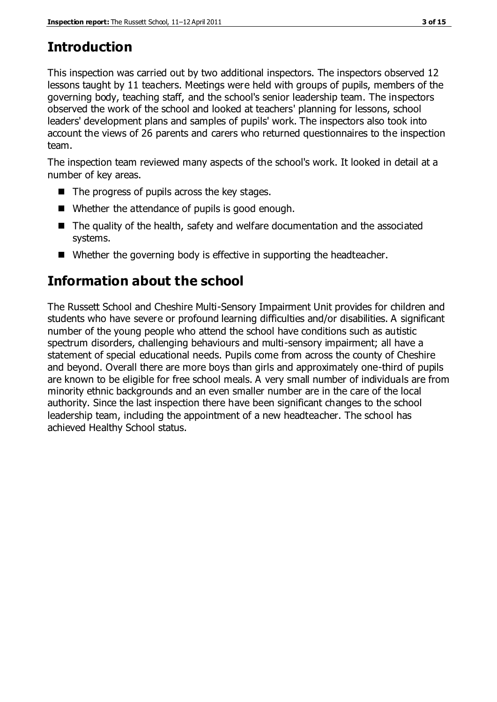# **Introduction**

This inspection was carried out by two additional inspectors. The inspectors observed 12 lessons taught by 11 teachers. Meetings were held with groups of pupils, members of the governing body, teaching staff, and the school's senior leadership team. The inspectors observed the work of the school and looked at teachers' planning for lessons, school leaders' development plans and samples of pupils' work. The inspectors also took into account the views of 26 parents and carers who returned questionnaires to the inspection team.

The inspection team reviewed many aspects of the school's work. It looked in detail at a number of key areas.

- $\blacksquare$  The progress of pupils across the key stages.
- Whether the attendance of pupils is good enough.
- The quality of the health, safety and welfare documentation and the associated systems.
- Whether the governing body is effective in supporting the headteacher.

## **Information about the school**

The Russett School and Cheshire Multi-Sensory Impairment Unit provides for children and students who have severe or profound learning difficulties and/or disabilities. A significant number of the young people who attend the school have conditions such as autistic spectrum disorders, challenging behaviours and multi-sensory impairment; all have a statement of special educational needs. Pupils come from across the county of Cheshire and beyond. Overall there are more boys than girls and approximately one-third of pupils are known to be eligible for free school meals. A very small number of individuals are from minority ethnic backgrounds and an even smaller number are in the care of the local authority. Since the last inspection there have been significant changes to the school leadership team, including the appointment of a new headteacher. The school has achieved Healthy School status.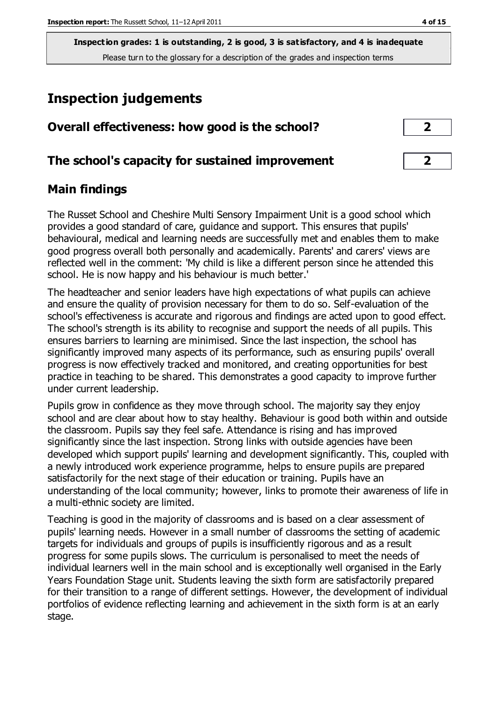## **Inspection judgements**

| Overall effectiveness: how good is the school?  |  |
|-------------------------------------------------|--|
| The school's capacity for sustained improvement |  |

## **Main findings**

The Russet School and Cheshire Multi Sensory Impairment Unit is a good school which provides a good standard of care, guidance and support. This ensures that pupils' behavioural, medical and learning needs are successfully met and enables them to make good progress overall both personally and academically. Parents' and carers' views are reflected well in the comment: 'My child is like a different person since he attended this school. He is now happy and his behaviour is much better.'

The headteacher and senior leaders have high expectations of what pupils can achieve and ensure the quality of provision necessary for them to do so. Self-evaluation of the school's effectiveness is accurate and rigorous and findings are acted upon to good effect. The school's strength is its ability to recognise and support the needs of all pupils. This ensures barriers to learning are minimised. Since the last inspection, the school has significantly improved many aspects of its performance, such as ensuring pupils' overall progress is now effectively tracked and monitored, and creating opportunities for best practice in teaching to be shared. This demonstrates a good capacity to improve further under current leadership.

Pupils grow in confidence as they move through school. The majority say they enjoy school and are clear about how to stay healthy. Behaviour is good both within and outside the classroom. Pupils say they feel safe. Attendance is rising and has improved significantly since the last inspection. Strong links with outside agencies have been developed which support pupils' learning and development significantly. This, coupled with a newly introduced work experience programme, helps to ensure pupils are prepared satisfactorily for the next stage of their education or training. Pupils have an understanding of the local community; however, links to promote their awareness of life in a multi-ethnic society are limited.

Teaching is good in the majority of classrooms and is based on a clear assessment of pupils' learning needs. However in a small number of classrooms the setting of academic targets for individuals and groups of pupils is insufficiently rigorous and as a result progress for some pupils slows. The curriculum is personalised to meet the needs of individual learners well in the main school and is exceptionally well organised in the Early Years Foundation Stage unit. Students leaving the sixth form are satisfactorily prepared for their transition to a range of different settings. However, the development of individual portfolios of evidence reflecting learning and achievement in the sixth form is at an early stage.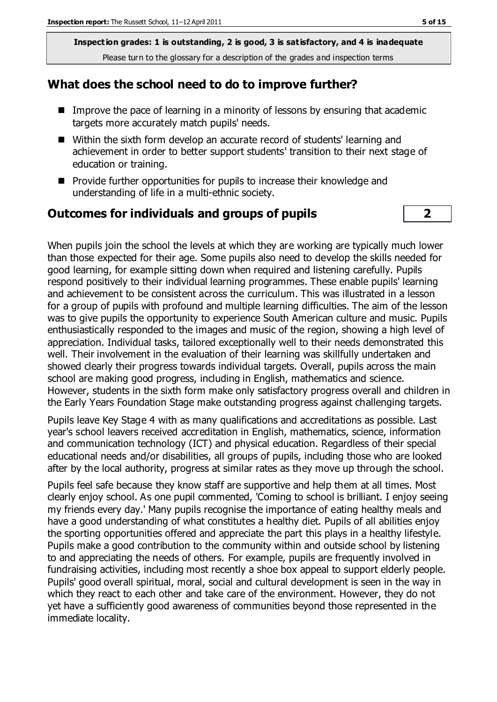#### **What does the school need to do to improve further?**

- Improve the pace of learning in a minority of lessons by ensuring that academic targets more accurately match pupils' needs.
- Within the sixth form develop an accurate record of students' learning and achievement in order to better support students' transition to their next stage of education or training.
- **Provide further opportunities for pupils to increase their knowledge and** understanding of life in a multi-ethnic society.

### **Outcomes for individuals and groups of pupils 2**

When pupils join the school the levels at which they are working are typically much lower than those expected for their age. Some pupils also need to develop the skills needed for good learning, for example sitting down when required and listening carefully. Pupils respond positively to their individual learning programmes. These enable pupils' learning and achievement to be consistent across the curriculum. This was illustrated in a lesson for a group of pupils with profound and multiple learning difficulties. The aim of the lesson was to give pupils the opportunity to experience South American culture and music. Pupils enthusiastically responded to the images and music of the region, showing a high level of appreciation. Individual tasks, tailored exceptionally well to their needs demonstrated this well. Their involvement in the evaluation of their learning was skillfully undertaken and showed clearly their progress towards individual targets. Overall, pupils across the main school are making good progress, including in English, mathematics and science. However, students in the sixth form make only satisfactory progress overall and children in the Early Years Foundation Stage make outstanding progress against challenging targets.

Pupils leave Key Stage 4 with as many qualifications and accreditations as possible. Last year's school leavers received accreditation in English, mathematics, science, information and communication technology (ICT) and physical education. Regardless of their special educational needs and/or disabilities, all groups of pupils, including those who are looked after by the local authority, progress at similar rates as they move up through the school.

Pupils feel safe because they know staff are supportive and help them at all times. Most clearly enjoy school. As one pupil commented, 'Coming to school is brilliant. I enjoy seeing my friends every day.' Many pupils recognise the importance of eating healthy meals and have a good understanding of what constitutes a healthy diet. Pupils of all abilities enjoy the sporting opportunities offered and appreciate the part this plays in a healthy lifestyle. Pupils make a good contribution to the community within and outside school by listening to and appreciating the needs of others. For example, pupils are frequently involved in fundraising activities, including most recently a shoe box appeal to support elderly people. Pupils' good overall spiritual, moral, social and cultural development is seen in the way in which they react to each other and take care of the environment. However, they do not yet have a sufficiently good awareness of communities beyond those represented in the immediate locality.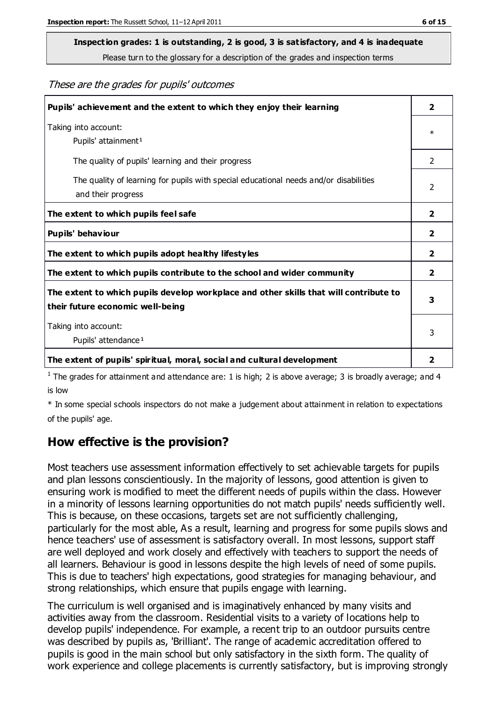# **Inspection grades: 1 is outstanding, 2 is good, 3 is satisfactory, and 4 is inadequate**

Please turn to the glossary for a description of the grades and inspection terms

#### These are the grades for pupils' outcomes

| Pupils' achievement and the extent to which they enjoy their learning                                                     | $\overline{2}$ |
|---------------------------------------------------------------------------------------------------------------------------|----------------|
| Taking into account:<br>Pupils' attainment <sup>1</sup>                                                                   | $\ast$         |
| The quality of pupils' learning and their progress                                                                        | 2              |
| The quality of learning for pupils with special educational needs and/or disabilities<br>and their progress               | $\mathcal{P}$  |
| The extent to which pupils feel safe                                                                                      | $\mathbf{2}$   |
| Pupils' behaviour                                                                                                         | 2              |
| The extent to which pupils adopt healthy lifestyles                                                                       | 2              |
| The extent to which pupils contribute to the school and wider community                                                   | $\overline{2}$ |
| The extent to which pupils develop workplace and other skills that will contribute to<br>their future economic well-being | 3              |
| Taking into account:<br>Pupils' attendance <sup>1</sup>                                                                   | 3              |
| The extent of pupils' spiritual, moral, social and cultural development                                                   | 2              |

<sup>1</sup> The grades for attainment and attendance are: 1 is high; 2 is above average; 3 is broadly average; and 4 is low

\* In some special schools inspectors do not make a judgement about attainment in relation to expectations of the pupils' age.

#### **How effective is the provision?**

Most teachers use assessment information effectively to set achievable targets for pupils and plan lessons conscientiously. In the majority of lessons, good attention is given to ensuring work is modified to meet the different needs of pupils within the class. However in a minority of lessons learning opportunities do not match pupils' needs sufficiently well. This is because, on these occasions, targets set are not sufficiently challenging, particularly for the most able, As a result, learning and progress for some pupils slows and hence teachers' use of assessment is satisfactory overall. In most lessons, support staff are well deployed and work closely and effectively with teachers to support the needs of all learners. Behaviour is good in lessons despite the high levels of need of some pupils. This is due to teachers' high expectations, good strategies for managing behaviour, and strong relationships, which ensure that pupils engage with learning.

The curriculum is well organised and is imaginatively enhanced by many visits and activities away from the classroom. Residential visits to a variety of locations help to develop pupils' independence. For example, a recent trip to an outdoor pursuits centre was described by pupils as, 'Brilliant'. The range of academic accreditation offered to pupils is good in the main school but only satisfactory in the sixth form. The quality of work experience and college placements is currently satisfactory, but is improving strongly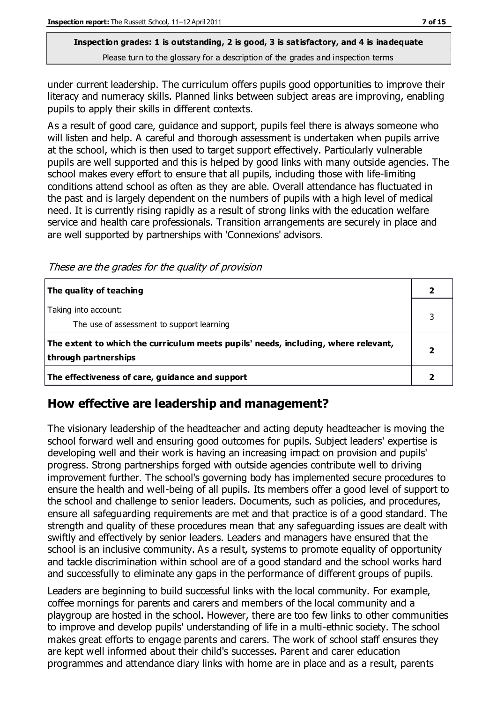under current leadership. The curriculum offers pupils good opportunities to improve their literacy and numeracy skills. Planned links between subject areas are improving, enabling pupils to apply their skills in different contexts.

As a result of good care, guidance and support, pupils feel there is always someone who will listen and help. A careful and thorough assessment is undertaken when pupils arrive at the school, which is then used to target support effectively. Particularly vulnerable pupils are well supported and this is helped by good links with many outside agencies. The school makes every effort to ensure that all pupils, including those with life-limiting conditions attend school as often as they are able. Overall attendance has fluctuated in the past and is largely dependent on the numbers of pupils with a high level of medical need. It is currently rising rapidly as a result of strong links with the education welfare service and health care professionals. Transition arrangements are securely in place and are well supported by partnerships with 'Connexions' advisors.

These are the grades for the quality of provision

| The quality of teaching                                                                                    |  |
|------------------------------------------------------------------------------------------------------------|--|
| Taking into account:<br>The use of assessment to support learning                                          |  |
| The extent to which the curriculum meets pupils' needs, including, where relevant,<br>through partnerships |  |
| The effectiveness of care, guidance and support                                                            |  |

### **How effective are leadership and management?**

The visionary leadership of the headteacher and acting deputy headteacher is moving the school forward well and ensuring good outcomes for pupils. Subject leaders' expertise is developing well and their work is having an increasing impact on provision and pupils' progress. Strong partnerships forged with outside agencies contribute well to driving improvement further. The school's governing body has implemented secure procedures to ensure the health and well-being of all pupils. Its members offer a good level of support to the school and challenge to senior leaders. Documents, such as policies, and procedures, ensure all safeguarding requirements are met and that practice is of a good standard. The strength and quality of these procedures mean that any safeguarding issues are dealt with swiftly and effectively by senior leaders. Leaders and managers have ensured that the school is an inclusive community. As a result, systems to promote equality of opportunity and tackle discrimination within school are of a good standard and the school works hard and successfully to eliminate any gaps in the performance of different groups of pupils.

Leaders are beginning to build successful links with the local community. For example, coffee mornings for parents and carers and members of the local community and a playgroup are hosted in the school. However, there are too few links to other communities to improve and develop pupils' understanding of life in a multi-ethnic society. The school makes great efforts to engage parents and carers. The work of school staff ensures they are kept well informed about their child's successes. Parent and carer education programmes and attendance diary links with home are in place and as a result, parents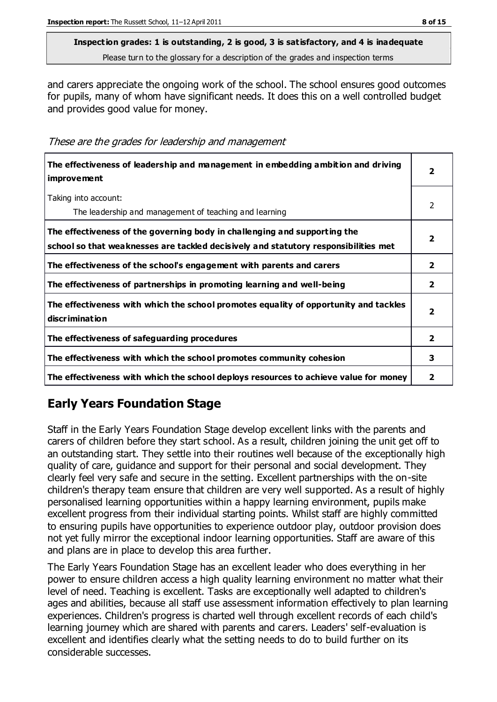and carers appreciate the ongoing work of the school. The school ensures good outcomes for pupils, many of whom have significant needs. It does this on a well controlled budget and provides good value for money.

These are the grades for leadership and management

| The effectiveness of leadership and management in embedding ambition and driving<br><i>improvement</i>                                                           | $\overline{\mathbf{2}}$ |
|------------------------------------------------------------------------------------------------------------------------------------------------------------------|-------------------------|
| Taking into account:<br>The leadership and management of teaching and learning                                                                                   | $\mathcal{P}$           |
| The effectiveness of the governing body in challenging and supporting the<br>school so that weaknesses are tackled decisively and statutory responsibilities met | 2                       |
| The effectiveness of the school's engagement with parents and carers                                                                                             | $\overline{\mathbf{2}}$ |
| The effectiveness of partnerships in promoting learning and well-being                                                                                           | $\mathbf{z}$            |
| The effectiveness with which the school promotes equality of opportunity and tackles<br>discrimination                                                           | 2                       |
| The effectiveness of safeguarding procedures                                                                                                                     | $\overline{\mathbf{2}}$ |
| The effectiveness with which the school promotes community cohesion                                                                                              | 3                       |
| The effectiveness with which the school deploys resources to achieve value for money                                                                             | 2                       |

## **Early Years Foundation Stage**

Staff in the Early Years Foundation Stage develop excellent links with the parents and carers of children before they start school. As a result, children joining the unit get off to an outstanding start. They settle into their routines well because of the exceptionally high quality of care, guidance and support for their personal and social development. They clearly feel very safe and secure in the setting. Excellent partnerships with the on-site children's therapy team ensure that children are very well supported. As a result of highly personalised learning opportunities within a happy learning environment, pupils make excellent progress from their individual starting points. Whilst staff are highly committed to ensuring pupils have opportunities to experience outdoor play, outdoor provision does not yet fully mirror the exceptional indoor learning opportunities. Staff are aware of this and plans are in place to develop this area further.

The Early Years Foundation Stage has an excellent leader who does everything in her power to ensure children access a high quality learning environment no matter what their level of need. Teaching is excellent. Tasks are exceptionally well adapted to children's ages and abilities, because all staff use assessment information effectively to plan learning experiences. Children's progress is charted well through excellent records of each child's learning journey which are shared with parents and carers. Leaders' self-evaluation is excellent and identifies clearly what the setting needs to do to build further on its considerable successes.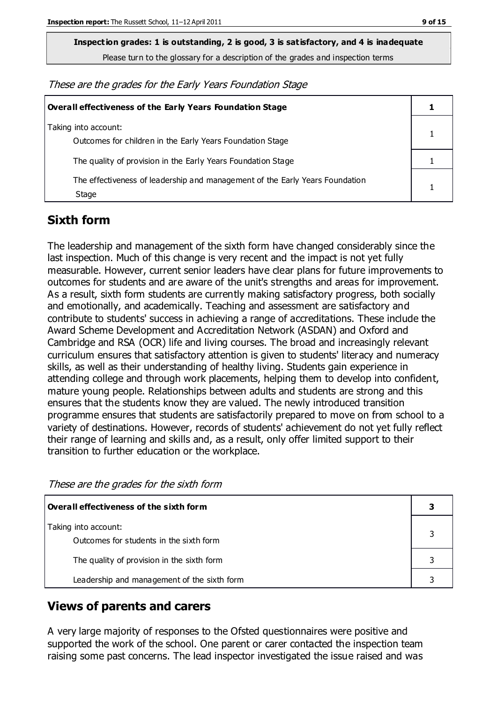**Inspection grades: 1 is outstanding, 2 is good, 3 is satisfactory, and 4 is inadequate**

Please turn to the glossary for a description of the grades and inspection terms

These are the grades for the Early Years Foundation Stage

| <b>Overall effectiveness of the Early Years Foundation Stage</b>                      |  |
|---------------------------------------------------------------------------------------|--|
| Taking into account:<br>Outcomes for children in the Early Years Foundation Stage     |  |
| The quality of provision in the Early Years Foundation Stage                          |  |
| The effectiveness of leadership and management of the Early Years Foundation<br>Stage |  |

### **Sixth form**

The leadership and management of the sixth form have changed considerably since the last inspection. Much of this change is very recent and the impact is not yet fully measurable. However, current senior leaders have clear plans for future improvements to outcomes for students and are aware of the unit's strengths and areas for improvement. As a result, sixth form students are currently making satisfactory progress, both socially and emotionally, and academically. Teaching and assessment are satisfactory and contribute to students' success in achieving a range of accreditations. These include the Award Scheme Development and Accreditation Network (ASDAN) and Oxford and Cambridge and RSA (OCR) life and living courses. The broad and increasingly relevant curriculum ensures that satisfactory attention is given to students' literacy and numeracy skills, as well as their understanding of healthy living. Students gain experience in attending college and through work placements, helping them to develop into confident, mature young people. Relationships between adults and students are strong and this ensures that the students know they are valued. The newly introduced transition programme ensures that students are satisfactorily prepared to move on from school to a variety of destinations. However, records of students' achievement do not yet fully reflect their range of learning and skills and, as a result, only offer limited support to their transition to further education or the workplace.

These are the grades for the sixth form

| Overall effectiveness of the sixth form                         |  |
|-----------------------------------------------------------------|--|
| Taking into account:<br>Outcomes for students in the sixth form |  |
| The quality of provision in the sixth form                      |  |
| Leadership and management of the sixth form                     |  |

### **Views of parents and carers**

A very large majority of responses to the Ofsted questionnaires were positive and supported the work of the school. One parent or carer contacted the inspection team raising some past concerns. The lead inspector investigated the issue raised and was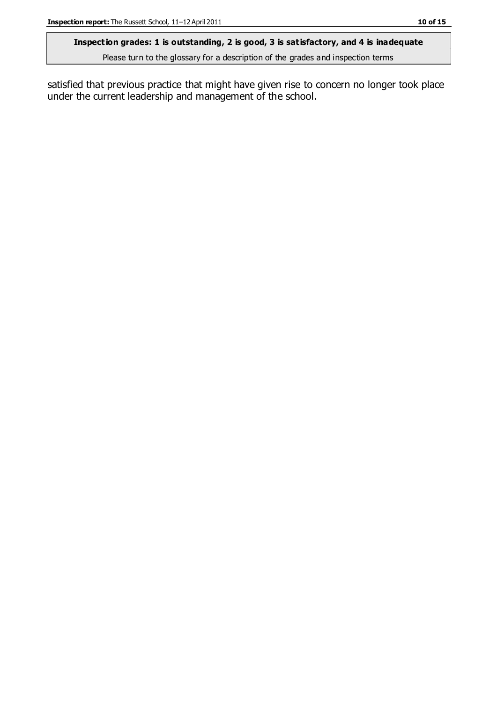#### **Inspection grades: 1 is outstanding, 2 is good, 3 is satisfactory, and 4 is inadequate**

Please turn to the glossary for a description of the grades and inspection terms

satisfied that previous practice that might have given rise to concern no longer took place under the current leadership and management of the school.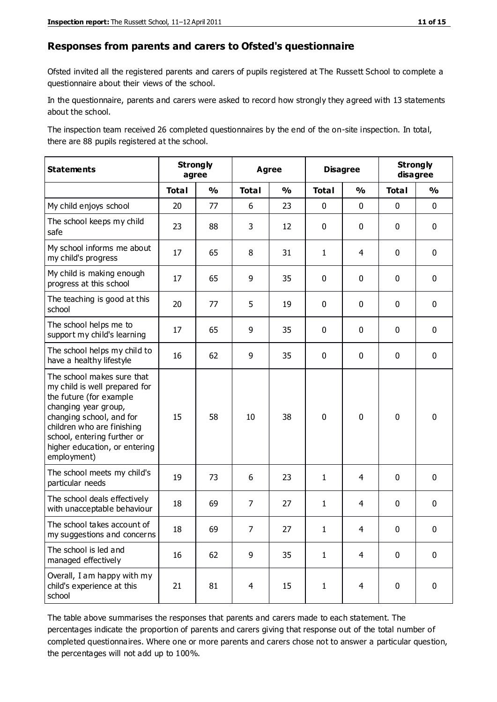#### **Responses from parents and carers to Ofsted's questionnaire**

Ofsted invited all the registered parents and carers of pupils registered at The Russett School to complete a questionnaire about their views of the school.

In the questionnaire, parents and carers were asked to record how strongly they agreed with 13 statements about the school.

The inspection team received 26 completed questionnaires by the end of the on-site inspection. In total, there are 88 pupils registered at the school.

| <b>Statements</b>                                                                                                                                                                                                                                       | <b>Strongly</b><br>agree |               | <b>Agree</b>   |                         |              | <b>Disagree</b> |              | <b>Strongly</b><br>disagree |  |
|---------------------------------------------------------------------------------------------------------------------------------------------------------------------------------------------------------------------------------------------------------|--------------------------|---------------|----------------|-------------------------|--------------|-----------------|--------------|-----------------------------|--|
|                                                                                                                                                                                                                                                         | <b>Total</b>             | $\frac{1}{2}$ | <b>Total</b>   | $\mathbf{O}/\mathbf{o}$ | <b>Total</b> | $\frac{1}{2}$   | <b>Total</b> | $\frac{1}{2}$               |  |
| My child enjoys school                                                                                                                                                                                                                                  | 20                       | 77            | 6              | 23                      | 0            | $\mathbf 0$     | $\mathbf 0$  | $\mathbf 0$                 |  |
| The school keeps my child<br>safe                                                                                                                                                                                                                       | 23                       | 88            | 3              | 12                      | 0            | $\mathbf 0$     | $\mathbf 0$  | $\mathbf 0$                 |  |
| My school informs me about<br>my child's progress                                                                                                                                                                                                       | 17                       | 65            | 8              | 31                      | 1            | 4               | $\mathbf 0$  | $\mathbf 0$                 |  |
| My child is making enough<br>progress at this school                                                                                                                                                                                                    | 17                       | 65            | 9              | 35                      | 0            | 0               | $\mathbf 0$  | $\pmb{0}$                   |  |
| The teaching is good at this<br>school                                                                                                                                                                                                                  | 20                       | 77            | 5              | 19                      | 0            | 0               | $\mathbf 0$  | $\mathbf 0$                 |  |
| The school helps me to<br>support my child's learning                                                                                                                                                                                                   | 17                       | 65            | 9              | 35                      | 0            | $\mathbf{0}$    | 0            | $\mathbf 0$                 |  |
| The school helps my child to<br>have a healthy lifestyle                                                                                                                                                                                                | 16                       | 62            | 9              | 35                      | 0            | 0               | $\mathbf 0$  | $\mathbf 0$                 |  |
| The school makes sure that<br>my child is well prepared for<br>the future (for example<br>changing year group,<br>changing school, and for<br>children who are finishing<br>school, entering further or<br>higher education, or entering<br>employment) | 15                       | 58            | 10             | 38                      | $\mathbf 0$  | 0               | $\mathbf 0$  | $\mathbf 0$                 |  |
| The school meets my child's<br>particular needs                                                                                                                                                                                                         | 19                       | 73            | 6              | 23                      | $\mathbf{1}$ | 4               | $\mathbf 0$  | $\mathbf 0$                 |  |
| The school deals effectively<br>with unacceptable behaviour                                                                                                                                                                                             | 18                       | 69            | $\overline{7}$ | 27                      | $\mathbf{1}$ | $\overline{4}$  | 0            | $\pmb{0}$                   |  |
| The school takes account of<br>my suggestions and concerns                                                                                                                                                                                              | 18                       | 69            | $\overline{7}$ | 27                      | 1            | 4               | $\Omega$     | $\Omega$                    |  |
| The school is led and<br>managed effectively                                                                                                                                                                                                            | 16                       | 62            | 9              | 35                      | $\mathbf{1}$ | $\overline{4}$  | $\mathbf 0$  | $\mathbf 0$                 |  |
| Overall, I am happy with my<br>child's experience at this<br>school                                                                                                                                                                                     | 21                       | 81            | 4              | 15                      | $\mathbf{1}$ | $\overline{4}$  | $\mathbf 0$  | $\mathbf 0$                 |  |

The table above summarises the responses that parents and carers made to each statement. The percentages indicate the proportion of parents and carers giving that response out of the total number of completed questionnaires. Where one or more parents and carers chose not to answer a particular question, the percentages will not add up to 100%.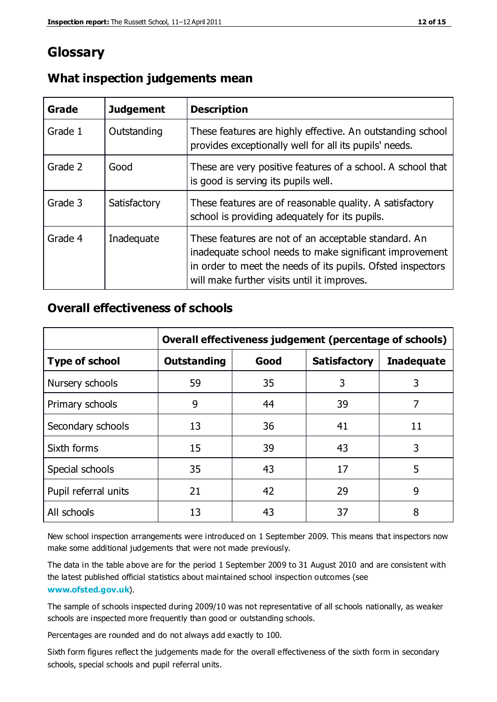## **Glossary**

| Grade   | <b>Judgement</b> | <b>Description</b>                                                                                                                                                                                                            |
|---------|------------------|-------------------------------------------------------------------------------------------------------------------------------------------------------------------------------------------------------------------------------|
| Grade 1 | Outstanding      | These features are highly effective. An outstanding school<br>provides exceptionally well for all its pupils' needs.                                                                                                          |
| Grade 2 | Good             | These are very positive features of a school. A school that<br>is good is serving its pupils well.                                                                                                                            |
| Grade 3 | Satisfactory     | These features are of reasonable quality. A satisfactory<br>school is providing adequately for its pupils.                                                                                                                    |
| Grade 4 | Inadequate       | These features are not of an acceptable standard. An<br>inadequate school needs to make significant improvement<br>in order to meet the needs of its pupils. Ofsted inspectors<br>will make further visits until it improves. |

#### **What inspection judgements mean**

#### **Overall effectiveness of schools**

|                       | Overall effectiveness judgement (percentage of schools) |      |                     |                   |
|-----------------------|---------------------------------------------------------|------|---------------------|-------------------|
| <b>Type of school</b> | <b>Outstanding</b>                                      | Good | <b>Satisfactory</b> | <b>Inadequate</b> |
| Nursery schools       | 59                                                      | 35   | 3                   | 3                 |
| Primary schools       | 9                                                       | 44   | 39                  | 7                 |
| Secondary schools     | 13                                                      | 36   | 41                  | 11                |
| Sixth forms           | 15                                                      | 39   | 43                  | 3                 |
| Special schools       | 35                                                      | 43   | 17                  | 5                 |
| Pupil referral units  | 21                                                      | 42   | 29                  | 9                 |
| All schools           | 13                                                      | 43   | 37                  | 8                 |

New school inspection arrangements were introduced on 1 September 2009. This means that inspectors now make some additional judgements that were not made previously.

The data in the table above are for the period 1 September 2009 to 31 August 2010 and are consistent with the latest published official statistics about maintained school inspection outcomes (see **[www.ofsted.gov.uk](http://www.ofsted.gov.uk/)**).

The sample of schools inspected during 2009/10 was not representative of all sc hools nationally, as weaker schools are inspected more frequently than good or outstanding schools.

Percentages are rounded and do not always add exactly to 100.

Sixth form figures reflect the judgements made for the overall effectiveness of the sixth form in secondary schools, special schools and pupil referral units.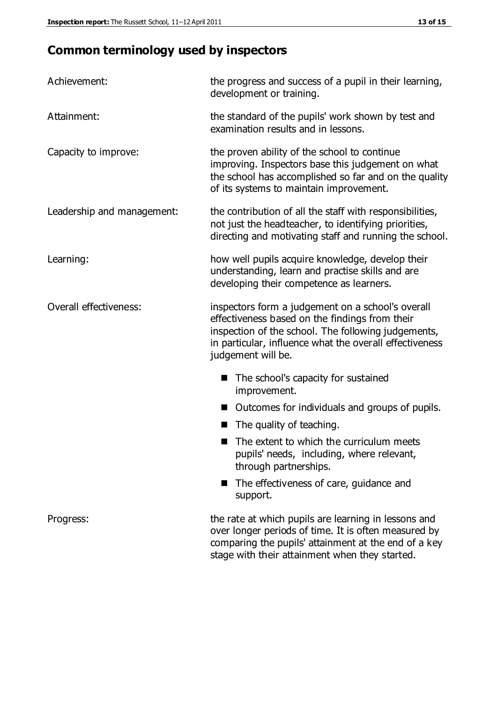## **Common terminology used by inspectors**

| Achievement:               | the progress and success of a pupil in their learning,<br>development or training.                                                                                                                                                          |  |  |
|----------------------------|---------------------------------------------------------------------------------------------------------------------------------------------------------------------------------------------------------------------------------------------|--|--|
| Attainment:                | the standard of the pupils' work shown by test and<br>examination results and in lessons.                                                                                                                                                   |  |  |
| Capacity to improve:       | the proven ability of the school to continue<br>improving. Inspectors base this judgement on what<br>the school has accomplished so far and on the quality<br>of its systems to maintain improvement.                                       |  |  |
| Leadership and management: | the contribution of all the staff with responsibilities,<br>not just the headteacher, to identifying priorities,<br>directing and motivating staff and running the school.                                                                  |  |  |
| Learning:                  | how well pupils acquire knowledge, develop their<br>understanding, learn and practise skills and are<br>developing their competence as learners.                                                                                            |  |  |
| Overall effectiveness:     | inspectors form a judgement on a school's overall<br>effectiveness based on the findings from their<br>inspection of the school. The following judgements,<br>in particular, influence what the overall effectiveness<br>judgement will be. |  |  |
|                            | The school's capacity for sustained<br>improvement.                                                                                                                                                                                         |  |  |
|                            | Outcomes for individuals and groups of pupils.                                                                                                                                                                                              |  |  |
|                            | The quality of teaching.                                                                                                                                                                                                                    |  |  |
|                            | The extent to which the curriculum meets<br>pupils' needs, including, where relevant,<br>through partnerships.                                                                                                                              |  |  |
|                            | The effectiveness of care, guidance and<br>support.                                                                                                                                                                                         |  |  |
| Progress:                  | the rate at which pupils are learning in lessons and<br>over longer periods of time. It is often measured by<br>comparing the pupils' attainment at the end of a key                                                                        |  |  |

stage with their attainment when they started.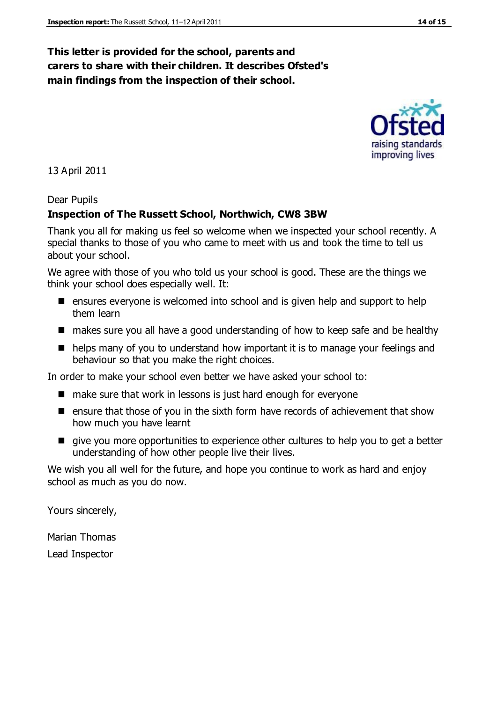### **This letter is provided for the school, parents and carers to share with their children. It describes Ofsted's main findings from the inspection of their school.**

13 April 2011

#### Dear Pupils

#### **Inspection of The Russett School, Northwich, CW8 3BW**

Thank you all for making us feel so welcome when we inspected your school recently. A special thanks to those of you who came to meet with us and took the time to tell us about your school.

We agree with those of you who told us your school is good. These are the things we think your school does especially well. It:

- $\blacksquare$  ensures evervone is welcomed into school and is given help and support to help them learn
- makes sure you all have a good understanding of how to keep safe and be healthy
- helps many of you to understand how important it is to manage your feelings and behaviour so that you make the right choices.

In order to make your school even better we have asked your school to:

- make sure that work in lessons is just hard enough for everyone
- **E** ensure that those of you in the sixth form have records of achievement that show how much you have learnt
- give you more opportunities to experience other cultures to help you to get a better understanding of how other people live their lives.

We wish you all well for the future, and hope you continue to work as hard and enjoy school as much as you do now.

Yours sincerely,

Marian Thomas Lead Inspector